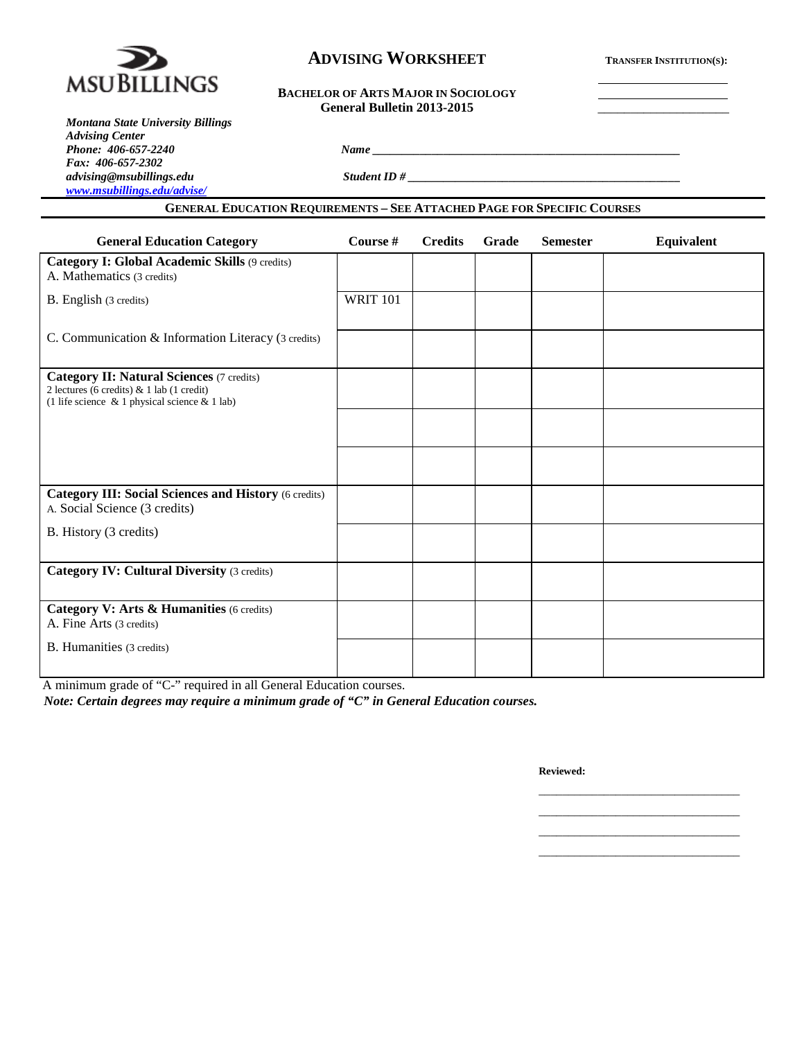

# **ADVISING WORKSHEET TRANSFER INSTITUTION(S):**

#### **BACHELOR OF ARTS MAJOR IN SOCIOLOGY** General Bulletin 2013-2015

*Montana State University Billings Advising Center Phone: 406-657-2240 Name \_\_\_\_\_\_\_\_\_\_\_\_\_\_\_\_\_\_\_\_\_\_\_\_\_\_\_\_\_\_\_\_\_\_\_\_\_\_\_\_\_\_\_\_\_\_\_\_\_\_\_\_ Fax: 406-657-2302 [www.msubillings.edu/advise/](http://www.msubillings.edu/advise/)*

*advising@msubillings.edu Student ID # \_\_\_\_\_\_\_\_\_\_\_\_\_\_\_\_\_\_\_\_\_\_\_\_\_\_\_\_\_\_\_\_\_\_\_\_\_\_\_\_\_\_\_\_\_\_*

### **GENERAL EDUCATION REQUIREMENTS – SEE ATTACHED PAGE FOR SPECIFIC COURSES**

| <b>General Education Category</b>                                                                                                                    | Course #        | <b>Credits</b> | Grade | <b>Semester</b> | Equivalent |
|------------------------------------------------------------------------------------------------------------------------------------------------------|-----------------|----------------|-------|-----------------|------------|
| Category I: Global Academic Skills (9 credits)<br>A. Mathematics (3 credits)                                                                         |                 |                |       |                 |            |
| B. English (3 credits)                                                                                                                               | <b>WRIT 101</b> |                |       |                 |            |
| C. Communication & Information Literacy (3 credits)                                                                                                  |                 |                |       |                 |            |
| <b>Category II: Natural Sciences (7 credits)</b><br>2 lectures (6 credits) & 1 lab (1 credit)<br>(1 life science $\&$ 1 physical science $\&$ 1 lab) |                 |                |       |                 |            |
|                                                                                                                                                      |                 |                |       |                 |            |
|                                                                                                                                                      |                 |                |       |                 |            |
| <b>Category III: Social Sciences and History (6 credits)</b><br>A. Social Science (3 credits)                                                        |                 |                |       |                 |            |
| B. History (3 credits)                                                                                                                               |                 |                |       |                 |            |
| <b>Category IV: Cultural Diversity (3 credits)</b>                                                                                                   |                 |                |       |                 |            |
| Category V: Arts & Humanities (6 credits)<br>A. Fine Arts (3 credits)                                                                                |                 |                |       |                 |            |
| <b>B.</b> Humanities (3 credits)                                                                                                                     |                 |                |       |                 |            |

A minimum grade of "C-" required in all General Education courses.

*Note: Certain degrees may require a minimum grade of "C" in General Education courses.*

**Reviewed:**

\_\_\_\_\_\_\_\_\_\_\_\_\_\_\_\_\_\_\_\_\_\_\_\_\_\_\_\_\_\_\_\_\_\_ \_\_\_\_\_\_\_\_\_\_\_\_\_\_\_\_\_\_\_\_\_\_\_\_\_\_\_\_\_\_\_\_\_\_ \_\_\_\_\_\_\_\_\_\_\_\_\_\_\_\_\_\_\_\_\_\_\_\_\_\_\_\_\_\_\_\_\_\_ \_\_\_\_\_\_\_\_\_\_\_\_\_\_\_\_\_\_\_\_\_\_\_\_\_\_\_\_\_\_\_\_\_\_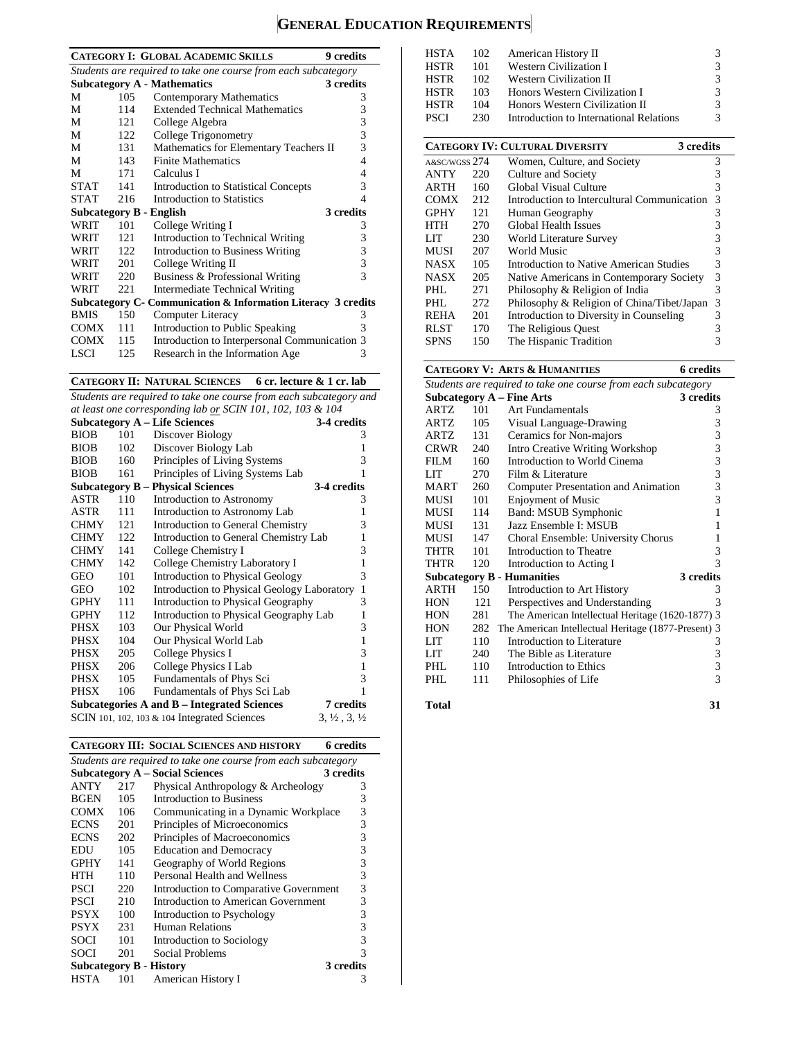# **GENERAL EDUCATION REQUIREMENTS**

| Subcategory C- Communication & Information Literacy 3 credits |
|---------------------------------------------------------------|
|                                                               |
|                                                               |
|                                                               |
|                                                               |
|                                                               |

**CATEGORY II: NATURAL SCIENCES 6 cr. lecture & 1 cr. lab**

*Students are required to take one course from each subcategory and at least one corresponding lab or SCIN 101, 102, 103 & 104*

|             |     | <b>Subcategory A – Life Sciences</b>            | 3-4 credits                      |
|-------------|-----|-------------------------------------------------|----------------------------------|
| <b>BIOB</b> | 101 | Discover Biology                                | 3                                |
| <b>BIOB</b> | 102 | Discover Biology Lab                            | 1                                |
| <b>BIOB</b> | 160 | Principles of Living Systems                    | 3                                |
| <b>BIOB</b> | 161 | Principles of Living Systems Lab                | 1                                |
|             |     | <b>Subcategory B – Physical Sciences</b>        | 3-4 credits                      |
| ASTR        | 110 | Introduction to Astronomy                       | 3                                |
| ASTR        | 111 | Introduction to Astronomy Lab                   | 1                                |
| <b>CHMY</b> | 121 | Introduction to General Chemistry               | 3                                |
| <b>CHMY</b> | 122 | Introduction to General Chemistry Lab           | 1                                |
| <b>CHMY</b> | 141 | College Chemistry I                             | 3                                |
| <b>CHMY</b> | 142 | College Chemistry Laboratory I                  | 1                                |
| GEO         | 101 | <b>Introduction to Physical Geology</b>         | 3                                |
| GEO         | 102 | Introduction to Physical Geology Laboratory     | $\mathbf{1}$                     |
| GPHY        | 111 | Introduction to Physical Geography              | 3                                |
| <b>GPHY</b> | 112 | Introduction to Physical Geography Lab          | 1                                |
| PHSX        | 103 | Our Physical World                              | 3                                |
| PHSX        | 104 | Our Physical World Lab                          | $\mathbf{1}$                     |
| PHSX        | 205 | College Physics I                               | 3                                |
| PHSX        | 206 | College Physics I Lab                           | $\mathbf{1}$                     |
| PHSX        | 105 | Fundamentals of Phys Sci                        | 3                                |
| <b>PHSX</b> | 106 | Fundamentals of Phys Sci Lab                    | 1                                |
|             |     | Subcategories A and B – Integrated Sciences     | 7 credits                        |
|             |     | SCIN 101, 102, 103 $\&$ 104 Integrated Sciences | $3, \frac{1}{2}, 3, \frac{1}{2}$ |

**CATEGORY III: SOCIAL SCIENCES AND HISTORY 6 credits**

| Students are required to take one course from each subcategory |     |                                        |           |  |  |
|----------------------------------------------------------------|-----|----------------------------------------|-----------|--|--|
|                                                                |     | <b>Subcategory A – Social Sciences</b> | 3 credits |  |  |
| ANTY                                                           | 217 | Physical Anthropology & Archeology     | 3         |  |  |
| <b>BGEN</b>                                                    | 105 | <b>Introduction to Business</b>        | 3         |  |  |
| <b>COMX</b>                                                    | 106 | Communicating in a Dynamic Workplace   | 3         |  |  |
| <b>ECNS</b>                                                    | 201 | Principles of Microeconomics           | 3         |  |  |
| <b>ECNS</b>                                                    | 202 | Principles of Macroeconomics           | 3         |  |  |
| EDU                                                            | 105 | <b>Education and Democracy</b>         | 3         |  |  |
| <b>GPHY</b>                                                    | 141 | Geography of World Regions             | 3         |  |  |
| HTH                                                            | 110 | Personal Health and Wellness           | 3         |  |  |
| <b>PSCI</b>                                                    | 220 | Introduction to Comparative Government | 3         |  |  |
| <b>PSCI</b>                                                    | 210 | Introduction to American Government    | 3         |  |  |
| <b>PSYX</b>                                                    | 100 | Introduction to Psychology             | 3         |  |  |
| <b>PSYX</b>                                                    | 231 | <b>Human Relations</b>                 | 3         |  |  |
| SOCI                                                           | 101 | Introduction to Sociology              | 3         |  |  |
| SOCI                                                           | 201 | Social Problems                        | 3         |  |  |
| <b>Subcategory B - History</b><br>3 credits                    |     |                                        |           |  |  |
| HSTA                                                           | 101 | American History I                     | 3         |  |  |

| 3<br><b>HSTA</b><br>102<br>American History II |     |                                                     |   |  |
|------------------------------------------------|-----|-----------------------------------------------------|---|--|
| <b>HSTR</b>                                    | 101 | Western Civilization I                              | 3 |  |
| <b>HSTR</b>                                    | 102 | <b>Western Civilization II</b>                      | 3 |  |
| <b>HSTR</b>                                    | 103 | Honors Western Civilization I                       | 3 |  |
| <b>HSTR</b>                                    | 104 | Honors Western Civilization II                      | 3 |  |
| <b>PSCI</b>                                    | 230 | Introduction to International Relations             | 3 |  |
|                                                |     |                                                     |   |  |
|                                                |     | <b>CATEGORY IV: CULTURAL DIVERSITY</b><br>3 credits |   |  |
| A&SC/WGSS 274                                  |     | Women, Culture, and Society                         | 3 |  |
| ANTY                                           | 220 | Culture and Society                                 | 3 |  |
| ARTH                                           | 160 | Global Visual Culture                               | 3 |  |
| COMX                                           | 212 | Introduction to Intercultural Communication         | 3 |  |
| <b>GPHY</b>                                    | 121 | Human Geography                                     | 3 |  |
| HTH                                            | 270 | Global Health Issues                                | 3 |  |
| LIT                                            | 230 | World Literature Survey                             | 3 |  |
| MUSI                                           | 207 | World Music                                         | 3 |  |
| <b>NASX</b>                                    | 105 | Introduction to Native American Studies             | 3 |  |
| <b>NASX</b>                                    | 205 | Native Americans in Contemporary Society            | 3 |  |
| PHL.                                           | 271 | Philosophy & Religion of India                      | 3 |  |
| PHL                                            | 272 | Philosophy & Religion of China/Tibet/Japan          | 3 |  |
| REHA                                           | 201 | Introduction to Diversity in Counseling             | 3 |  |
| <b>RLST</b>                                    | 170 | The Religious Quest                                 | 3 |  |
| <b>SPNS</b>                                    | 150 | The Hispanic Tradition                              | 3 |  |

The Hispanic Tradition

#### **CATEGORY V: ARTS & HUMANITIES 6 credits**

| Students are required to take one course from each subcategory |     |                                                     |           |  |  |
|----------------------------------------------------------------|-----|-----------------------------------------------------|-----------|--|--|
|                                                                |     | Subcategory $A$ – Fine Arts                         | 3 credits |  |  |
| ARTZ                                                           | 101 | Art Fundamentals                                    | 3         |  |  |
| ARTZ                                                           | 105 | Visual Language-Drawing                             | 3         |  |  |
| <b>ARTZ</b>                                                    | 131 | Ceramics for Non-majors                             | 3         |  |  |
| <b>CRWR</b>                                                    | 240 | Intro Creative Writing Workshop                     | 3         |  |  |
| FILM                                                           | 160 | Introduction to World Cinema                        | 3         |  |  |
| LIT                                                            | 270 | Film & Literature                                   | 3         |  |  |
| <b>MART</b>                                                    | 260 | Computer Presentation and Animation                 | 3         |  |  |
| MUSI                                                           | 101 | <b>Enjoyment of Music</b>                           | 3         |  |  |
| MUSI                                                           | 114 | Band: MSUB Symphonic                                | 1         |  |  |
| MUSI                                                           | 131 | Jazz Ensemble I: MSUB                               | 1         |  |  |
| MUSI                                                           | 147 | Choral Ensemble: University Chorus                  | 1         |  |  |
| THTR                                                           | 101 | Introduction to Theatre                             | 3         |  |  |
| THTR                                                           | 120 | Introduction to Acting I                            | 3         |  |  |
|                                                                |     | <b>Subcategory B - Humanities</b>                   | 3 credits |  |  |
| <b>ARTH</b>                                                    | 150 | Introduction to Art History                         | 3         |  |  |
| <b>HON</b>                                                     | 121 | Perspectives and Understanding                      | 3         |  |  |
| <b>HON</b>                                                     | 281 | The American Intellectual Heritage (1620-1877) 3    |           |  |  |
| <b>HON</b>                                                     | 282 | The American Intellectual Heritage (1877-Present) 3 |           |  |  |
| LIT                                                            | 110 | Introduction to Literature                          | 3         |  |  |
| LIT                                                            | 240 | The Bible as Literature                             | 3         |  |  |
| PHI.                                                           | 110 | Introduction to Ethics                              | 3         |  |  |
| PHL                                                            | 111 | Philosophies of Life                                | 3         |  |  |
|                                                                |     |                                                     |           |  |  |

**Total 31**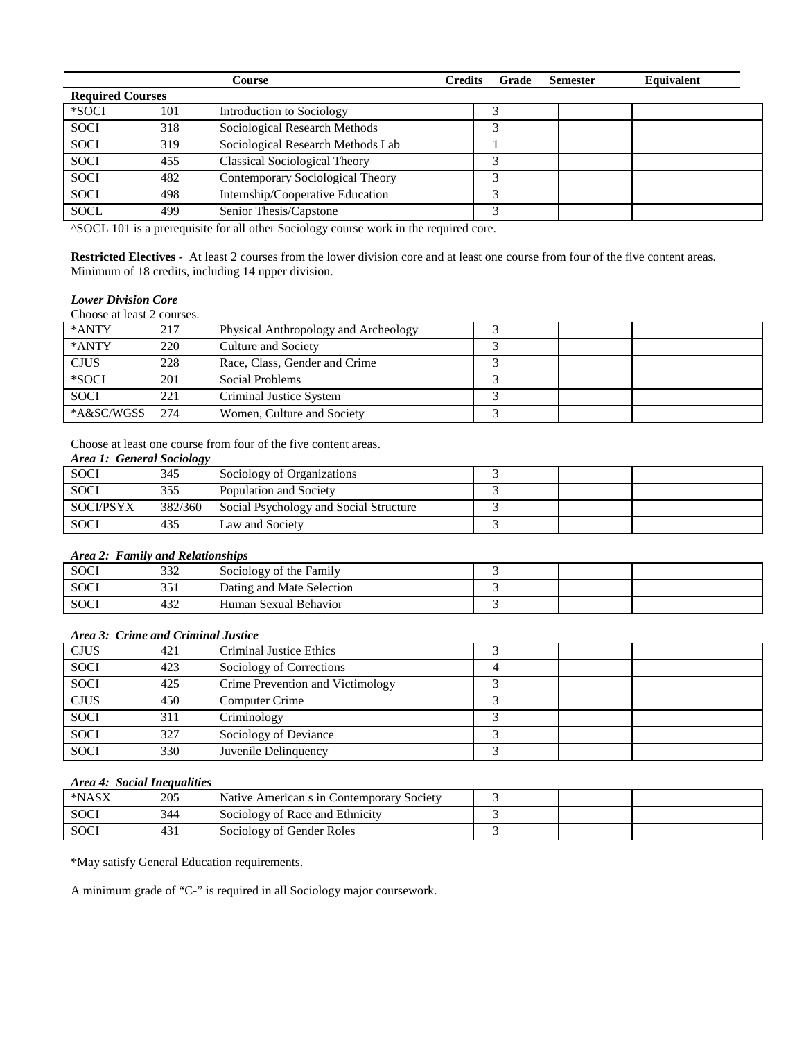|                         |     | Course                               | <b>Credits</b><br>Grade | <b>Semester</b> | Equivalent |
|-------------------------|-----|--------------------------------------|-------------------------|-----------------|------------|
| <b>Required Courses</b> |     |                                      |                         |                 |            |
| *SOCI                   | 101 | Introduction to Sociology            |                         |                 |            |
| <b>SOCI</b>             | 318 | Sociological Research Methods        | 3                       |                 |            |
| <b>SOCI</b>             | 319 | Sociological Research Methods Lab    |                         |                 |            |
| <b>SOCI</b>             | 455 | <b>Classical Sociological Theory</b> | 3                       |                 |            |
| <b>SOCI</b>             | 482 | Contemporary Sociological Theory     | 3                       |                 |            |
| <b>SOCI</b>             | 498 | Internship/Cooperative Education     | 3                       |                 |            |
| <b>SOCL</b>             | 499 | Senior Thesis/Capstone               | 3                       |                 |            |

^SOCL 101 is a prerequisite for all other Sociology course work in the required core.

**Restricted Electives** - At least 2 courses from the lower division core and at least one course from four of the five content areas. Minimum of 18 credits, including 14 upper division.

## *Lower Division Core*

Choose at least 2 courses.

| *ANTY       | 217 | Physical Anthropology and Archeology |   |  |  |
|-------------|-----|--------------------------------------|---|--|--|
| *ANTY       | 220 | Culture and Society                  |   |  |  |
| <b>CJUS</b> | 228 | Race, Class, Gender and Crime        |   |  |  |
| *SOCI       | 201 | Social Problems                      |   |  |  |
| <b>SOCI</b> | 221 | Criminal Justice System              |   |  |  |
| *A&SC/WGSS  | 274 | Women, Culture and Society           | ↗ |  |  |

Choose at least one course from four of the five content areas.

## *Area 1: General Sociology*

|                  | ັ       |                                        |  |  |
|------------------|---------|----------------------------------------|--|--|
| <b>SOCI</b>      | 345     | Sociology of Organizations             |  |  |
| <b>SOCI</b>      |         | Population and Society                 |  |  |
| <b>SOCI/PSYX</b> | 382/360 | Social Psychology and Social Structure |  |  |
| <b>SOCI</b>      |         | Law and Society                        |  |  |

#### *Area 2: Family and Relationships*

| <b>SOCI</b> | າາາ<br>332                          | Sociology of the Family   |  |  |
|-------------|-------------------------------------|---------------------------|--|--|
| <b>SOCI</b> | $\bigcap$ $\bigcap$ 1<br><b>JJ1</b> | Dating and Mate Selection |  |  |
| <b>SOCI</b> | $\sim$<br>432                       | Human Sexual Behavior     |  |  |

## *Area 3: Crime and Criminal Justice*

| <b>CJUS</b> | 421 | Criminal Justice Ethics          |   |  |  |
|-------------|-----|----------------------------------|---|--|--|
| <b>SOCI</b> | 423 | Sociology of Corrections         |   |  |  |
| SOCI        | 425 | Crime Prevention and Victimology |   |  |  |
| <b>CJUS</b> | 450 | Computer Crime                   |   |  |  |
| SOCI        | 311 | Criminology                      | ╭ |  |  |
| <b>SOCI</b> | 327 | Sociology of Deviance            |   |  |  |
| <b>SOCI</b> | 330 | Juvenile Delinquency             |   |  |  |

## *Area 4: Social Inequalities*

| *NASX       | 205 | Native American s in Contemporary Society |  |  |
|-------------|-----|-------------------------------------------|--|--|
| <b>SOCI</b> | 344 | Sociology of Race and Ethnicity           |  |  |
| SOC!        | 431 | Sociology of Gender Roles                 |  |  |

\*May satisfy General Education requirements.

A minimum grade of "C-" is required in all Sociology major coursework.